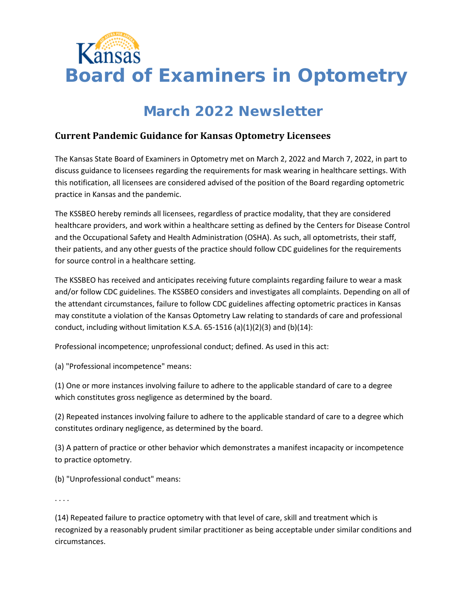

# **March 2022 Newsletter**

### **Current Pandemic Guidance for Kansas Optometry Licensees**

The Kansas State Board of Examiners in Optometry met on March 2, 2022 and March 7, 2022, in part to discuss guidance to licensees regarding the requirements for mask wearing in healthcare settings. With this notification, all licensees are considered advised of the position of the Board regarding optometric practice in Kansas and the pandemic.

The KSSBEO hereby reminds all licensees, regardless of practice modality, that they are considered healthcare providers, and work within a healthcare setting as defined by the Centers for Disease Control and the Occupational Safety and Health Administration (OSHA). As such, all optometrists, their staff, their patients, and any other guests of the practice should follow CDC guidelines for the requirements for source control in a healthcare setting.

The KSSBEO has received and anticipates receiving future complaints regarding failure to wear a mask and/or follow CDC guidelines. The KSSBEO considers and investigates all complaints. Depending on all of the attendant circumstances, failure to follow CDC guidelines affecting optometric practices in Kansas may constitute a violation of the Kansas Optometry Law relating to standards of care and professional conduct, including without limitation K.S.A.  $65-1516$  (a)(1)(2)(3) and (b)(14):

Professional incompetence; unprofessional conduct; defined. As used in this act:

(a) "Professional incompetence" means:

(1) One or more instances involving failure to adhere to the applicable standard of care to a degree which constitutes gross negligence as determined by the board.

(2) Repeated instances involving failure to adhere to the applicable standard of care to a degree which constitutes ordinary negligence, as determined by the board.

(3) A pattern of practice or other behavior which demonstrates a manifest incapacity or incompetence to practice optometry.

(b) "Unprofessional conduct" means:

. . . .

(14) Repeated failure to practice optometry with that level of care, skill and treatment which is recognized by a reasonably prudent similar practitioner as being acceptable under similar conditions and circumstances.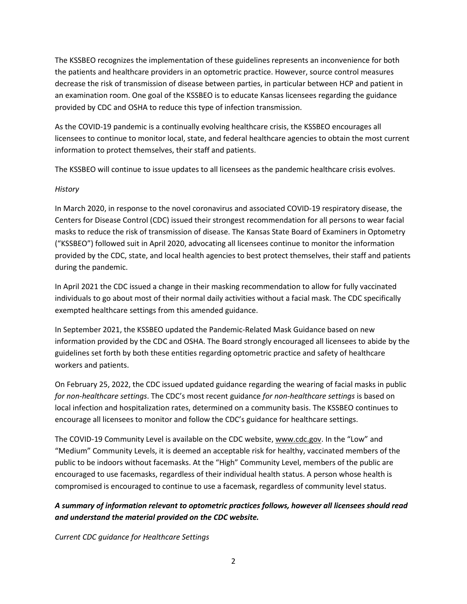The KSSBEO recognizes the implementation of these guidelines represents an inconvenience for both the patients and healthcare providers in an optometric practice. However, source control measures decrease the risk of transmission of disease between parties, in particular between HCP and patient in an examination room. One goal of the KSSBEO is to educate Kansas licensees regarding the guidance provided by CDC and OSHA to reduce this type of infection transmission.

As the COVID-19 pandemic is a continually evolving healthcare crisis, the KSSBEO encourages all licensees to continue to monitor local, state, and federal healthcare agencies to obtain the most current information to protect themselves, their staff and patients.

The KSSBEO will continue to issue updates to all licensees as the pandemic healthcare crisis evolves.

#### *History*

In March 2020, in response to the novel coronavirus and associated COVID-19 respiratory disease, the Centers for Disease Control (CDC) issued their strongest recommendation for all persons to wear facial masks to reduce the risk of transmission of disease. The Kansas State Board of Examiners in Optometry ("KSSBEO") followed suit in April 2020, advocating all licensees continue to monitor the information provided by the CDC, state, and local health agencies to best protect themselves, their staff and patients during the pandemic.

In April 2021 the CDC issued a change in their masking recommendation to allow for fully vaccinated individuals to go about most of their normal daily activities without a facial mask. The CDC specifically exempted healthcare settings from this amended guidance.

In September 2021, the KSSBEO updated the Pandemic-Related Mask Guidance based on new information provided by the CDC and OSHA. The Board strongly encouraged all licensees to abide by the guidelines set forth by both these entities regarding optometric practice and safety of healthcare workers and patients.

On February 25, 2022, the CDC issued updated guidance regarding the wearing of facial masks in public *for non-healthcare settings*. The CDC's most recent guidance *for non-healthcare settings* is based on local infection and hospitalization rates, determined on a community basis. The KSSBEO continues to encourage all licensees to monitor and follow the CDC's guidance for healthcare settings.

The COVID-19 Community Level is available on the CDC website, [www.cdc.gov.](http://www.cdc.gov/) In the "Low" and "Medium" Community Levels, it is deemed an acceptable risk for healthy, vaccinated members of the public to be indoors without facemasks. At the "High" Community Level, members of the public are encouraged to use facemasks, regardless of their individual health status. A person whose health is compromised is encouraged to continue to use a facemask, regardless of community level status.

### *A summary of information relevant to optometric practices follows, however all licensees should read and understand the material provided on the CDC website.*

*Current CDC guidance for Healthcare Settings*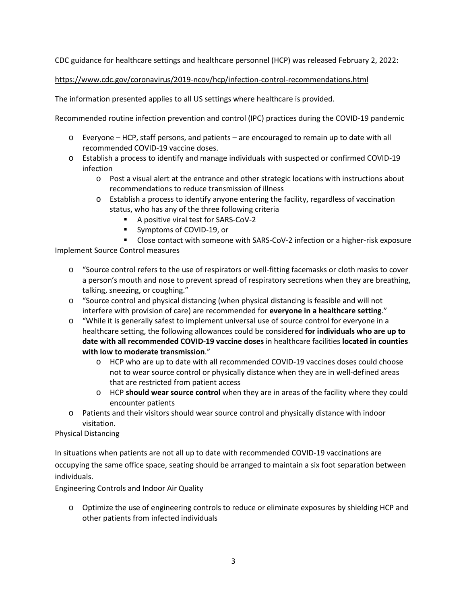CDC guidance for healthcare settings and healthcare personnel (HCP) was released February 2, 2022:

#### <https://www.cdc.gov/coronavirus/2019-ncov/hcp/infection-control-recommendations.html>

The information presented applies to all US settings where healthcare is provided.

Recommended routine infection prevention and control (IPC) practices during the COVID-19 pandemic

- o Everyone HCP, staff persons, and patients are encouraged to remain up to date with all recommended COVID-19 vaccine doses.
- o Establish a process to identify and manage individuals with suspected or confirmed COVID-19 infection
	- o Post a visual alert at the entrance and other strategic locations with instructions about recommendations to reduce transmission of illness
	- o Establish a process to identify anyone entering the facility, regardless of vaccination status, who has any of the three following criteria
		- A positive viral test for SARS-CoV-2
		- **Symptoms of COVID-19, or**
		- Close contact with someone with SARS-CoV-2 infection or a higher-risk exposure

Implement Source Control measures

- o "Source control refers to the use of respirators or well-fitting facemasks or cloth masks to cover a person's mouth and nose to prevent spread of respiratory secretions when they are breathing, talking, sneezing, or coughing."
- o "Source control and physical distancing (when physical distancing is feasible and will not interfere with provision of care) are recommended for **everyone in a healthcare setting**."
- o "While it is generally safest to implement universal use of source control for everyone in a healthcare setting, the following allowances could be considered **for individuals who are up to date with all recommended COVID-19 vaccine doses** in healthcare facilities **located in counties with low to moderate transmission**."
	- o HCP who are up to date with all recommended COVID-19 vaccines doses could choose not to wear source control or physically distance when they are in well-defined areas that are restricted from patient access
	- o HCP **should wear source control** when they are in areas of the facility where they could encounter patients
- o Patients and their visitors should wear source control and physically distance with indoor visitation.

Physical Distancing

In situations when patients are not all up to date with recommended COVID-19 vaccinations are occupying the same office space, seating should be arranged to maintain a six foot separation between individuals.

Engineering Controls and Indoor Air Quality

o Optimize the use of engineering controls to reduce or eliminate exposures by shielding HCP and other patients from infected individuals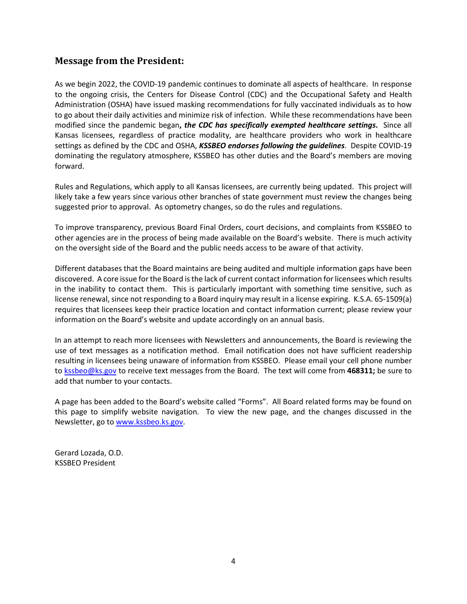### **Message from the President:**

As we begin 2022, the COVID-19 pandemic continues to dominate all aspects of healthcare. In response to the ongoing crisis, the Centers for Disease Control (CDC) and the Occupational Safety and Health Administration (OSHA) have issued masking recommendations for fully vaccinated individuals as to how to go about their daily activities and minimize risk of infection. While these recommendations have been modified since the pandemic began**,** *the CDC has specifically exempted healthcare settings***.** Since all Kansas licensees, regardless of practice modality, are healthcare providers who work in healthcare settings as defined by the CDC and OSHA, *KSSBEO endorses following the guidelines*. Despite COVID-19 dominating the regulatory atmosphere, KSSBEO has other duties and the Board's members are moving forward.

Rules and Regulations, which apply to all Kansas licensees, are currently being updated. This project will likely take a few years since various other branches of state government must review the changes being suggested prior to approval. As optometry changes, so do the rules and regulations.

To improve transparency, previous Board Final Orders, court decisions, and complaints from KSSBEO to other agencies are in the process of being made available on the Board's website. There is much activity on the oversight side of the Board and the public needs access to be aware of that activity.

Different databases that the Board maintains are being audited and multiple information gaps have been discovered. A core issue forthe Board isthe lack of current contact information forlicensees which results in the inability to contact them. This is particularly important with something time sensitive, such as license renewal, since not responding to a Board inquiry may result in a license expiring. K.S.A. 65-1509(a) requires that licensees keep their practice location and contact information current; please review your information on the Board's website and update accordingly on an annual basis.

In an attempt to reach more licensees with Newsletters and announcements, the Board is reviewing the use of text messages as a notification method. Email notification does not have sufficient readership resulting in licensees being unaware of information from KSSBEO. Please email your cell phone number to [kssbeo@ks.gov](mailto:kssbeo@ks.gov) to receive text messages from the Board. The text will come from **468311;** be sure to add that number to your contacts.

A page has been added to the Board's website called "Forms". All Board related forms may be found on this page to simplify website navigation. To view the new page, and the changes discussed in the Newsletter, go to [www.kssbeo.ks.gov.](http://www.kssbeo.ks.gov/)

Gerard Lozada, O.D. KSSBEO President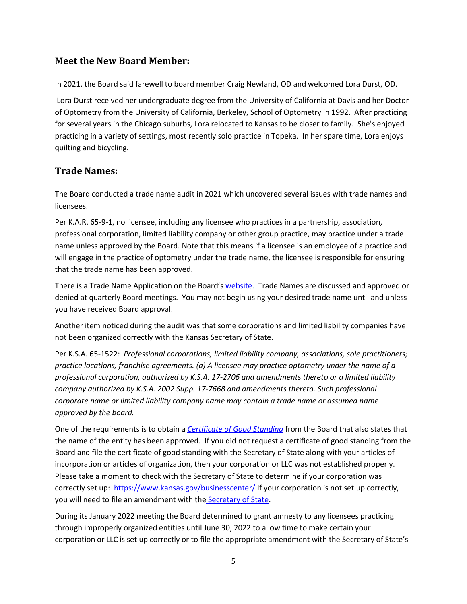### **Meet the New Board Member:**

In 2021, the Board said farewell to board member Craig Newland, OD and welcomed Lora Durst, OD.

Lora Durst received her undergraduate degree from the University of California at Davis and her Doctor of Optometry from the University of California, Berkeley, School of Optometry in 1992. After practicing for several years in the Chicago suburbs, Lora relocated to Kansas to be closer to family. She's enjoyed practicing in a variety of settings, most recently solo practice in Topeka. In her spare time, Lora enjoys quilting and bicycling.

# **Trade Names:**

The Board conducted a trade name audit in 2021 which uncovered several issues with trade names and licensees.

Per K.A.R. 65-9-1, no licensee, including any licensee who practices in a partnership, association, professional corporation, limited liability company or other group practice, may practice under a trade name unless approved by the Board. Note that this means if a licensee is an employee of a practice and will engage in the practice of optometry under the trade name, the licensee is responsible for ensuring that the trade name has been approved.

There is a Trade Name Application on the Board'[s website.](https://kssbeo.ks.gov/optometrists/trade-name-application) Trade Names are discussed and approved or denied at quarterly Board meetings. You may not begin using your desired trade name until and unless you have received Board approval.

Another item noticed during the audit was that some corporations and limited liability companies have not been organized correctly with the Kansas Secretary of State.

Per K.S.A. 65-1522: *Professional corporations, limited liability company, associations, sole practitioners; practice locations, franchise agreements. (a) A licensee may practice optometry under the name of a professional corporation, authorized by K.S.A. 17-2706 and amendments thereto or a limited liability company authorized by K.S.A. 2002 Supp. 17-7668 and amendments thereto. Such professional corporate name or limited liability company name may contain a trade name or assumed name approved by the board.*

One of the requirements is to obtain a *[Certificate of Good Standing](https://kssbeo.ks.gov/optometrists/request-for-certificate)* from the Board that also states that the name of the entity has been approved. If you did not request a certificate of good standing from the Board and file the certificate of good standing with the Secretary of State along with your articles of incorporation or articles of organization, then your corporation or LLC was not established properly. Please take a moment to check with the Secretary of State to determine if your corporation was correctly set up: <https://www.kansas.gov/businesscenter/> If your corporation is not set up correctly, you will need to file an amendment with the [Secretary of State.](https://sos.ks.gov/forms/business_services/BEA.pdf)

During its January 2022 meeting the Board determined to grant amnesty to any licensees practicing through improperly organized entities until June 30, 2022 to allow time to make certain your corporation or LLC is set up correctly or to file the appropriate amendment with the Secretary of State's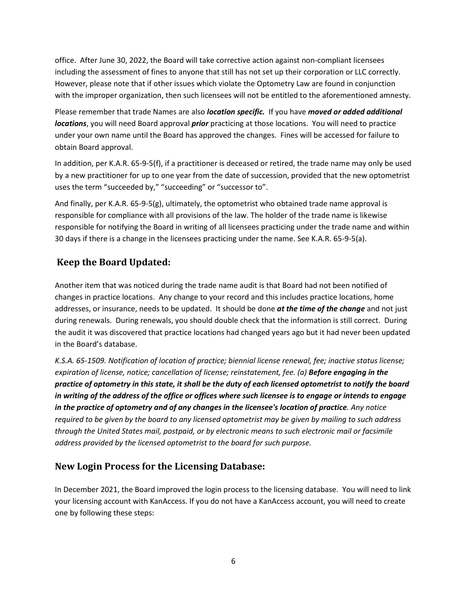office. After June 30, 2022, the Board will take corrective action against non-compliant licensees including the assessment of fines to anyone that still has not set up their corporation or LLC correctly. However, please note that if other issues which violate the Optometry Law are found in conjunction with the improper organization, then such licensees will not be entitled to the aforementioned amnesty.

Please remember that trade Names are also *location specific.* If you have *moved or added additional locations*, you will need Board approval *prior* practicing at those locations. You will need to practice under your own name until the Board has approved the changes. Fines will be accessed for failure to obtain Board approval.

In addition, per K.A.R. 65-9-5(f), if a practitioner is deceased or retired, the trade name may only be used by a new practitioner for up to one year from the date of succession, provided that the new optometrist uses the term "succeeded by," "succeeding" or "successor to".

And finally, per K.A.R. 65-9-5(g), ultimately, the optometrist who obtained trade name approval is responsible for compliance with all provisions of the law. The holder of the trade name is likewise responsible for notifying the Board in writing of all licensees practicing under the trade name and within 30 days if there is a change in the licensees practicing under the name. See K.A.R. 65-9-5(a).

# **Keep the Board Updated:**

Another item that was noticed during the trade name audit is that Board had not been notified of changes in practice locations. Any change to your record and this includes practice locations, home addresses, or insurance, needs to be updated. It should be done *at the time of the change* and not just during renewals. During renewals, you should double check that the information is still correct. During the audit it was discovered that practice locations had changed years ago but it had never been updated in the Board's database.

*K.S.A. 65-1509. Notification of location of practice; biennial license renewal, fee; inactive status license; expiration of license, notice; cancellation of license; reinstatement, fee. (a) Before engaging in the practice of optometry in this state, it shall be the duty of each licensed optometrist to notify the board in writing of the address of the office or offices where such licensee is to engage or intends to engage in the practice of optometry and of any changes in the licensee's location of practice. Any notice required to be given by the board to any licensed optometrist may be given by mailing to such address through the United States mail, postpaid, or by electronic means to such electronic mail or facsimile address provided by the licensed optometrist to the board for such purpose.*

# **New Login Process for the Licensing Database:**

In December 2021, the Board improved the login process to the licensing database. You will need to link your licensing account with KanAccess. If you do not have a KanAccess account, you will need to create one by following these steps: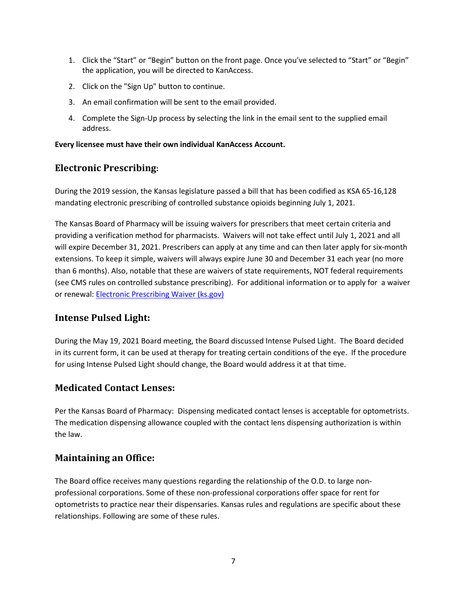- 1. Click the "Start" or "Begin" button on the front page. Once you've selected to "Start" or "Begin" the application, you will be directed to KanAccess.
- 2. Click on the "Sign Up" button to continue.
- 3. An email confirmation will be sent to the email provided.
- 4. Complete the Sign-Up process by selecting the link in the email sent to the supplied email address.

#### **Every licensee must have their own individual KanAccess Account.**

### **Electronic Prescribing:**

During the 2019 session, the Kansas legislature passed a bill that has been codified as KSA 65-16,128 mandating electronic prescribing of controlled substance opioids beginning July 1, 2021.

The Kansas Board of Pharmacy will be issuing waivers for prescribers that meet certain criteria and providing a verification method for pharmacists. Waivers will not take effect until July 1, 2021 and all will expire December 31, 2021. Prescribers can apply at any time and can then later apply for six-month extensions. To keep it simple, waivers will always expire June 30 and December 31 each year (no more than 6 months). Also, notable that these are waivers of state requirements, NOT federal requirements (see CMS rules on controlled substance prescribing). For additional information or to apply for a waiver or renewal: [Electronic Prescribing Waiver \(ks.gov\)](https://gcc02.safelinks.protection.outlook.com/?url=https%3A%2F%2Fpharmacy.ks.gov%2Fresources-consumer-info-2%2Felectronic-prescribing-waiver&data=04%7C01%7CJan.Murray%40ks.gov%7Cb56fb663d3ce4b39569208d9efc83ba6%7Cdcae8101c92d480cbc43c6761ccccc5a%7C0%7C0%7C637804465536779868%7CUnknown%7CTWFpbGZsb3d8eyJWIjoiMC4wLjAwMDAiLCJQIjoiV2luMzIiLCJBTiI6Ik1haWwiLCJXVCI6Mn0%3D%7C3000&sdata=lQdJXkR2cpXassipkIwCTpkP6skbBTgAGm8eJNBf2c4%3D&reserved=0)

# **Intense Pulsed Light:**

During the May 19, 2021 Board meeting, the Board discussed Intense Pulsed Light. The Board decided in its current form, it can be used at therapy for treating certain conditions of the eye. If the procedure for using Intense Pulsed Light should change, the Board would address it at that time.

### **Medicated Contact Lenses:**

Per the Kansas Board of Pharmacy: Dispensing medicated contact lenses is acceptable for optometrists. The medication dispensing allowance coupled with the contact lens dispensing authorization is within the law.

### **Maintaining an Office:**

The Board office receives many questions regarding the relationship of the O.D. to large nonprofessional corporations. Some of these non-professional corporations offer space for rent for optometrists to practice near their dispensaries. Kansas rules and regulations are specific about these relationships. Following are some of these rules.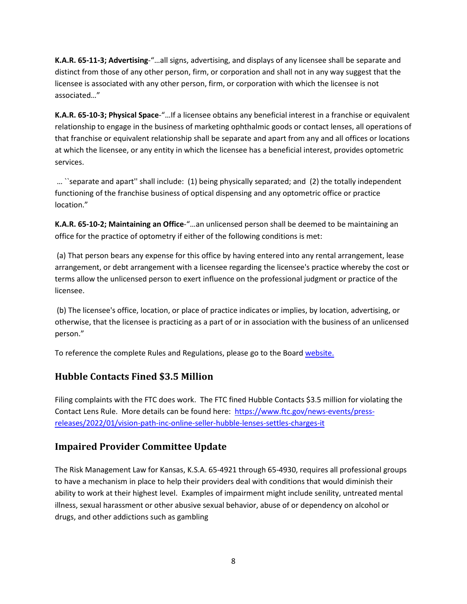**K.A.R. 65-11-3; Advertising**-"…all signs, advertising, and displays of any licensee shall be separate and distinct from those of any other person, firm, or corporation and shall not in any way suggest that the licensee is associated with any other person, firm, or corporation with which the licensee is not associated…"

**K.A.R. 65-10-3; Physical Space**-"…If a licensee obtains any beneficial interest in a franchise or equivalent relationship to engage in the business of marketing ophthalmic goods or contact lenses, all operations of that franchise or equivalent relationship shall be separate and apart from any and all offices or locations at which the licensee, or any entity in which the licensee has a beneficial interest, provides optometric services.

… ``separate and apart'' shall include: (1) being physically separated; and (2) the totally independent functioning of the franchise business of optical dispensing and any optometric office or practice location."

**K.A.R. 65-10-2; Maintaining an Office**-"…an unlicensed person shall be deemed to be maintaining an office for the practice of optometry if either of the following conditions is met:

(a) That person bears any expense for this office by having entered into any rental arrangement, lease arrangement, or debt arrangement with a licensee regarding the licensee's practice whereby the cost or terms allow the unlicensed person to exert influence on the professional judgment or practice of the licensee.

(b) The licensee's office, location, or place of practice indicates or implies, by location, advertising, or otherwise, that the licensee is practicing as a part of or in association with the business of an unlicensed person."

To reference the complete Rules and Regulations, please go to the Board [website.](https://www.kssbeo.ks.gov/home)

# **Hubble Contacts Fined \$3.5 Million**

Filing complaints with the FTC does work. The FTC fined Hubble Contacts \$3.5 million for violating the Contact Lens Rule. More details can be found here: [https://www.ftc.gov/news-events/press](https://www.ftc.gov/news-events/press-releases/2022/01/vision-path-inc-online-seller-hubble-lenses-settles-charges-it)[releases/2022/01/vision-path-inc-online-seller-hubble-lenses-settles-charges-it](https://www.ftc.gov/news-events/press-releases/2022/01/vision-path-inc-online-seller-hubble-lenses-settles-charges-it)

# **Impaired Provider Committee Update**

The Risk Management Law for Kansas, K.S.A. 65-4921 through 65-4930, requires all professional groups to have a mechanism in place to help their providers deal with conditions that would diminish their ability to work at their highest level. Examples of impairment might include senility, untreated mental illness, sexual harassment or other abusive sexual behavior, abuse of or dependency on alcohol or drugs, and other addictions such as gambling